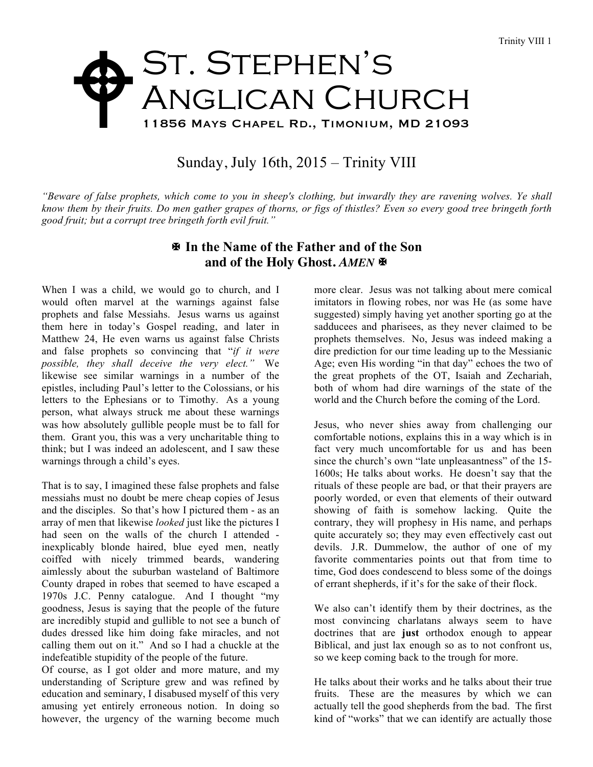## St. Stephen's ANGLICAN CHURCH 11856 Mays Chapel Rd., Timonium, MD 21093  $\blacklozenge$

## Sunday, July 16th, 2015 – Trinity VIII

*"Beware of false prophets, which come to you in sheep's clothing, but inwardly they are ravening wolves. Ye shall know them by their fruits. Do men gather grapes of thorns, or figs of thistles? Even so every good tree bringeth forth good fruit; but a corrupt tree bringeth forth evil fruit."*

## X **In the Name of the Father and of the Son** and of the Holy Ghost. AMEN  $\blacksquare$

When I was a child, we would go to church, and I would often marvel at the warnings against false prophets and false Messiahs. Jesus warns us against them here in today's Gospel reading, and later in Matthew 24, He even warns us against false Christs and false prophets so convincing that "*if it were possible, they shall deceive the very elect."* We likewise see similar warnings in a number of the epistles, including Paul's letter to the Colossians, or his letters to the Ephesians or to Timothy. As a young person, what always struck me about these warnings was how absolutely gullible people must be to fall for them. Grant you, this was a very uncharitable thing to think; but I was indeed an adolescent, and I saw these warnings through a child's eyes.

That is to say, I imagined these false prophets and false messiahs must no doubt be mere cheap copies of Jesus and the disciples. So that's how I pictured them - as an array of men that likewise *looked* just like the pictures I had seen on the walls of the church I attended inexplicably blonde haired, blue eyed men, neatly coiffed with nicely trimmed beards, wandering aimlessly about the suburban wasteland of Baltimore County draped in robes that seemed to have escaped a 1970s J.C. Penny catalogue. And I thought "my goodness, Jesus is saying that the people of the future are incredibly stupid and gullible to not see a bunch of dudes dressed like him doing fake miracles, and not calling them out on it." And so I had a chuckle at the indefeatible stupidity of the people of the future.

Of course, as I got older and more mature, and my understanding of Scripture grew and was refined by education and seminary, I disabused myself of this very amusing yet entirely erroneous notion. In doing so however, the urgency of the warning become much more clear. Jesus was not talking about mere comical imitators in flowing robes, nor was He (as some have suggested) simply having yet another sporting go at the sadducees and pharisees, as they never claimed to be prophets themselves. No, Jesus was indeed making a dire prediction for our time leading up to the Messianic Age; even His wording "in that day" echoes the two of the great prophets of the OT, Isaiah and Zechariah, both of whom had dire warnings of the state of the world and the Church before the coming of the Lord.

Jesus, who never shies away from challenging our comfortable notions, explains this in a way which is in fact very much uncomfortable for us and has been since the church's own "late unpleasantness" of the 15- 1600s; He talks about works. He doesn't say that the rituals of these people are bad, or that their prayers are poorly worded, or even that elements of their outward showing of faith is somehow lacking. Quite the contrary, they will prophesy in His name, and perhaps quite accurately so; they may even effectively cast out devils. J.R. Dummelow, the author of one of my favorite commentaries points out that from time to time, God does condescend to bless some of the doings of errant shepherds, if it's for the sake of their flock.

We also can't identify them by their doctrines, as the most convincing charlatans always seem to have doctrines that are **just** orthodox enough to appear Biblical, and just lax enough so as to not confront us, so we keep coming back to the trough for more.

He talks about their works and he talks about their true fruits. These are the measures by which we can actually tell the good shepherds from the bad. The first kind of "works" that we can identify are actually those